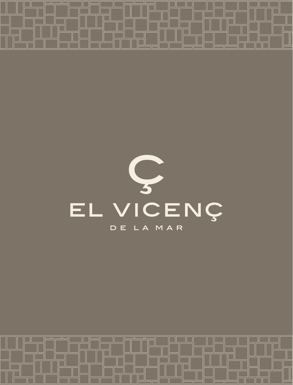

⊒⊏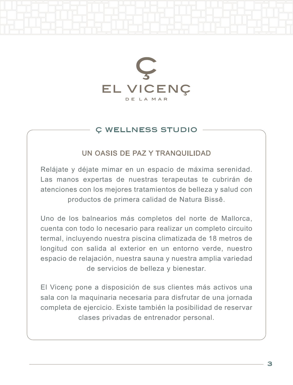

# Ç WELLNESS STUDIO

# UN OASIS DE PAZ Y TRANQUILIDAD

Relájate y déjate mimar en un espacio de máxima serenidad. Las manos expertas de nuestras terapeutas te cubrirán de atenciones con los mejores tratamientos de belleza y salud con productos de primera calidad de Natura Bissē.

Uno de los balnearios más completos del norte de Mallorca, cuenta con todo lo necesario para realizar un completo circuito termal, incluyendo nuestra piscina climatizada de 18 metros de longitud con salida al exterior en un entorno verde, nuestro espacio de relajación, nuestra sauna y nuestra amplia variedad de servicios de belleza y bienestar.

El Vicenç pone a disposición de sus clientes más activos una sala con la maquinaria necesaria para disfrutar de una jornada completa de ejercicio. Existe también la posibilidad de reservar clases privadas de entrenador personal.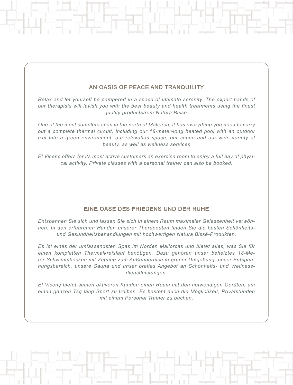### AN OASIS OF PEACE AND TRANQUILITY

*Relax and let yourself be pampered in a space of ultimate serenity. The expert hands of our therapists will lavish you with the best beauty and health treatments using the finest quality productsfrom Natura Bissē.*

*One of the most complete spas in the north of Mallorca, it has everything you need to carry out a complete thermal circuit, including our 18-meter-long heated pool with an outdoor exit into a green environment, our relaxation space, our sauna and our wide variety of beauty, as well as wellness services*

*El Vicenç offers for its most active customers an exercise room to enjoy a full day of physical activity. Private classes with a personal trainer can also be booked.*

### EINE OASE DES FRIEDENS UND DER RUHE

*Entspannen Sie sich und lassen Sie sich in einem Raum maximaler Gelassenheit verwöhnen. In den erfahrenen Händen unserer Therapeuten finden Sie die besten Schönheitsund Gesundheitsbehandlungen mit hochwertigen Natura Bissē-Produkten.* 

*Es ist eines der umfassendsten Spas im Norden Mallorcas und bietet alles, was Sie für einen kompletten Thermalkreislauf benötigen. Dazu gehören unser beheiztes 18-Meter-Schwimmbecken mit Zugang zum Außenbereich in grüner Umgebung, unser Entspannungsbereich, unsere Sauna und unser breites Angebot an Schönheits- und Wellnessdienstleistungen.*

*El Vicenç bietet seinen aktiveren Kunden einen Raum mit den notwendigen Geräten, um einen ganzen Tag lang Sport zu treiben. Es besteht auch die Möglichkeit, Privatstunden mit einem Personal Trainer zu buchen.*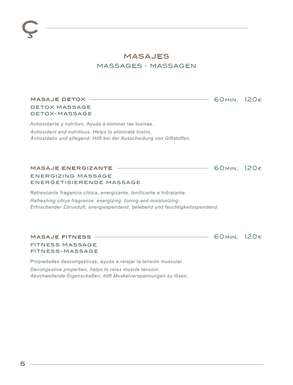# MASAJES massages · massagen

60min. 120€

60min. 120€

60min. 120€

## masaje detox

#### detox massage detox-massage

Antioxidante y nutritivo. Ayuda a eliminar las toxinas. *Antioxidant and nutritious. Helps to eliminate toxins. Antioxidativ und pflegend. Hilft bei der Ausscheidung von Giftstoffen.*

#### masaje energizante

#### energizing massage energetisierende massage

Refrescante fragancia cítrica, energizante, tonificante e hidratante. *Refreshing citrus fragrance, energizing, toning and moisturizing. Erfrischender Zitrusduft, energiespendend, belebend und feuchtigkeitsspendend.*

#### masaje fitness

### fitness massage fitness-massage

Propiedades descongestivas, ayuda a relajar la tensión muscular.

*Decongestive properties, helps to relax muscle tension. Abschwellende Eigenschaften, hilft Muskelverspannungen zu lösen.*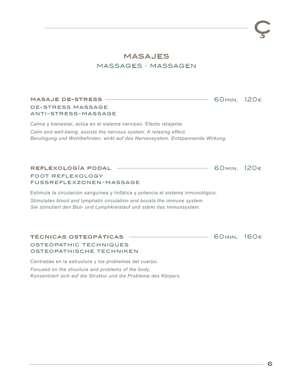60min. 120€

60min. 120€

60min. 160€

# MASAJES massages · massagen

#### masaje de-stress

de-stress massage anti-stress-massage

Calma y bienestar, actúa en el sistema nervioso. Efecto relajante. *Calm and well-being, assists the nervous system. A relaxing effect. Beruhigung und Wohlbefinden, wirkt auf das Nervensystem. Entspannende Wirkung.*

reflexología podal

foot reflexology fussreflexzonen-massage

Estimula la circulación sanguínea y linfática y potencia el sistema inmunológico. *Stimulates blood and lymphatic circulation and boosts the immune system. Sie stimuliert den Blut- und Lymphkreislauf und stärkt das Immunsystem.*

### técnicas osteopáticas

osteopathic techniques osteopathische techniken

Centradas en la estructura y los problemas del cuerpo. *Focused on the structure and problems of the body. Konzentriert sich auf die Struktur und die Probleme des Körpers.*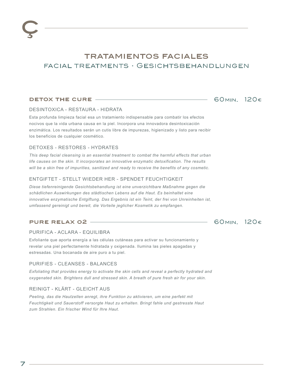# TRATAMIENTOS FACIALES facial treatments · Gesichtsbehandlungen

#### detox the cure

### 60min. 120€

#### DESINTOXICA - RESTAURA - HIDRATA

Esta profunda limpieza facial esa un tratamiento indispensable para combatir los efectos nocivos que la vida urbana causa en la piel. Incorpora una innovadora desintoxicación enzimática. Los resultados serán un cutis libre de impurezas, higienizado y listo para recibir los beneficios de cualquier cosmético.

#### DETOXES - RESTORES - HYDRATES

*This deep facial cleansing is an essential treatment to combat the harmful effects that urban life causes on the skin. It incorporates an innovative enzymatic detoxification. The results will be a skin free of impurities, sanitized and ready to receive the benefits of any cosmetic.*

#### ENTGIFTET - STELLT WIEDER HER - SPENDET FEUCHTIGKEIT

*Diese tiefenreinigende Gesichtsbehandlung ist eine unverzichtbare Maßnahme gegen die schädlichen Auswirkungen des städtischen Lebens auf die Haut. Es beinhaltet eine innovative enzymatische Entgiftung. Das Ergebnis ist ein Teint, der frei von Unreinheiten ist, umfassend gereinigt und bereit, die Vorteile jeglicher Kosmetik zu empfangen.*

#### pure relax o2

# 60min. 120€

#### PURIFICA - ACLARA - EQUILIBRA

Exfoliante que aporta energía a las células cutáneas para activar su funcionamiento y revelar una piel perfectamente hidratada y oxigenada. Ilumina las pieles apagadas y estresadas. Una bocanada de aire puro a tu piel.

#### PURIFIES - CLEANSES - BALANCES

*Exfoliating that provides energy to activate the skin cells and reveal a perfectly hydrated and oxygenated skin. Brightens dull and stressed skin. A breath of pure fresh air for your skin.*

#### REINIGT - KLÄRT - GLEICHT AUS

Peeling, das die Hautzellen anregt, ihre Funktion zu aktivieren, um eine perfekt mit *Feuchtigkeit und Sauerstoff versorgte Haut zu erhalten. Bringt fahle und gestresste Haut zum Strahlen. Ein frischer Wind für Ihre Haut.*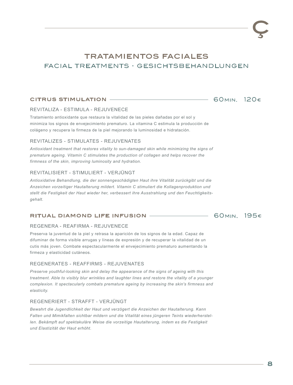# TRATAMIENTOS FACIALES facial treatments · gesichtsbehandlungen

#### citrus stimulation

### 60min. 120€

60min. 195€

#### REVITALIZA - ESTIMULA - REJUVENECE

Tratamiento antioxidante que restaura la vitalidad de las pieles dañadas por el sol y minimiza los signos de envejecimiento prematuro. La vitamina C estimula la producción de colágeno y recupera la firmeza de la piel mejorando la luminosidad e hidratación.

#### REVITALIZES - STIMULATES - REJUVENATES

*Antioxidant treatment that restores vitality to sun-damaged skin while minimizing the signs of premature ageing. Vitamin C stimulates the production of collagen and helps recover the firmness of the skin, improving luminosity and hydration.*

#### REVITALISIERT - STIMULIERT - VERJÜNGT

*Antioxidative Behandlung, die der sonnengeschädigten Haut ihre Vitalität zurückgibt und die Anzeichen vorzeitiger Hautalterung mildert. Vitamin C stimuliert die Kollagenproduktion und stellt die Festigkeit der Haut wieder her, verbessert ihre Ausstrahlung und den Feuchtigkeitsgehalt.*

#### ritual diamond life infusion

#### REGENERA - REAFIRMA - REJUVENECE

Preserva la juventud de la piel y retrasa la aparición de los signos de la edad. Capaz de difuminar de forma visible arrugas y líneas de expresión y de recuperar la vitalidad de un cutis más joven. Combate espectacularmente el envejecimiento prematuro aumentando la firmeza y elasticidad cutáneos.

#### REGENERATES - REAFFIRMS - REJUVENATES

*Preserve youthful-looking skin and delay the appearance of the signs of ageing with this treatment. Able to visibly blur wrinkles and laughter lines and restore the vitality of a younger complexion. It spectacularly combats premature ageing by increasing the skin's firmness and elasticity.*

#### REGENERIERT - STRAFFT - VERJÜNGT

*Bewahrt die Jugendlichkeit der Haut und verzögert die Anzeichen der Hautalterung. Kann Falten und Mimikfalten sichtbar mildern und die Vitalität eines jüngeren Teints wiederherstel*len. Bekämpft auf spektakuläre Weise die vorzeitige Hautalterung, indem es die Festigkeit *und Elastizität der Haut erhöht.*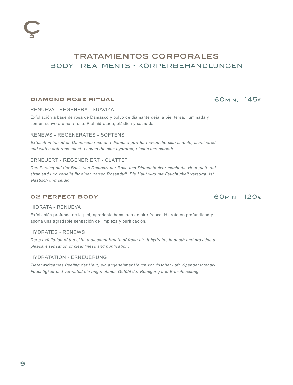# TRATAMIENTOS CORPORALES body treatments · körperbehandlungen

#### diamond rose ritual



RENUEVA - REGENERA - SUAVIZA

Exfoliación a base de rosa de Damasco y polvo de diamante deja la piel tersa, iluminada y con un suave aroma a rosa. Piel hidratada, elástica y satinada.

#### RENEWS - REGENERATES - SOFTENS

*Exfoliation based on Damascus rose and diamond powder leaves the skin smooth, illuminated and with a soft rose scent. Leaves the skin hydrated, elastic and smooth.*

#### ERNEUERT - REGENERIERT - GLÄTTET

*Das Peeling auf der Basis von Damaszener Rose und Diamantpulver macht die Haut glatt und strahlend und verleiht ihr einen zarten Rosenduft. Die Haut wird mit Feuchtigkeit versorgt, ist elastisch und seidig.*

#### o2 perfect body



#### HIDRATA - RENUEVA

Exfoliación profunda de la piel, agradable bocanada de aire fresco. Hidrata en profundidad y aporta una agradable sensación de limpieza y purificación.

#### HYDRATES - RENEWS

*Deep exfoliation of the skin, a pleasant breath of fresh air. It hydrates in depth and provides a pleasant sensation of cleanliness and purification.*

#### HYDRATATION - ERNEUERUNG

*Tiefenwirksames Peeling der Haut, ein angenehmer Hauch von frischer Luft. Spendet intensiv Feuchtigkeit und vermittelt ein angenehmes Gefühl der Reinigung und Entschlackung.*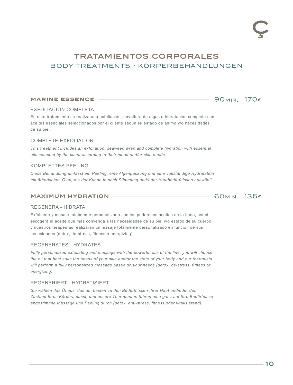# TRATAMIENTOS CORPORALES body treatments · körperbehandlungen

#### **MARINE ESSENCE -**

#### EXFOLIACIÓN COMPLETA

En este tratamiento se realiza una exfoliación, envoltura de algas e hidratación completa con aceites esenciales seleccionados por el cliente según su estado de ánimo y/o necesidades de su piel.

#### COMPLETE EXFOLIATION

*This treatment includes an exfoliation, seaweed wrap and complete hydration with essential oils selected by the client according to their mood and/or skin needs.*

#### KOMPLETTES PEELING

*Diese Behandlung umfasst ein Peeling, eine Algenpackung und eine vollständige Hydratation mit ätherischen Ölen, die der Kunde je nach Stimmung und/oder Hautbedürfnissen auswählt.*

#### maximum hydration

### 60min. 135€

90min. 170€

#### REGENERA - HIDRATA

Exfoliante y masaje totalmente personalizado con los poderosos aceites de la línea, usted escogerá el aceite que más convenga a las necesidades de su piel y/o estado de su cuerpo y nuestros terapeutas realizarán un masaje totalmente personalizado en función de sus necesidades (detox, de-stress, fitness o energizing)

#### REGENERATES - HYDRATES

*Fully personalized exfoliating and massage with the powerful oils of the line, you will choose the oil that best suits the needs of your skin and/or the state of your body and our therapists will perform a fully personalized massage based on your needs (detox, de-stress, fitness or energizing).*

#### REGENERIERT - HYDRATISIERT

*Sie wählen das Öl aus, das am besten zu den Bedürfnissen Ihrer Haut und/oder dem Zustand Ihres Körpers passt, und unsere Therapeuten führen eine ganz auf Ihre Bedürfnisse abgestimmte Massage und Peeling durch (detox, anti-stress, fitness oder vitalisierend).*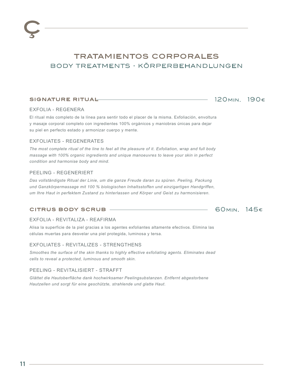# TRATAMIENTOS CORPORALES body treatments · körperbehandlungen

#### signature ritual

### 120min. 190€

#### EXFOLIA - REGENERA

El ritual más completo de la línea para sentir todo el placer de la misma. Exfoliación, envoltura y masaje corporal completo con ingredientes 100% orgánicos y maniobras únicas para dejar su piel en perfecto estado y armonizar cuerpo y mente.

#### EXFOLIATES - REGENERATES

*The most complete ritual of the line to feel all the pleasure of it. Exfoliation, wrap and full body massage with 100% organic ingredients and unique manoeuvres to leave your skin in perfect condition and harmonise body and mind.*

#### PEELING - REGENERIERT

*Das vollständigste Ritual der Linie, um die ganze Freude daran zu spüren. Peeling, Packung und Ganzkörpermassage mit 100 % biologischen Inhaltsstoffen und einzigartigen Handgriffen, um Ihre Haut in perfektem Zustand zu hinterlassen und Körper und Geist zu harmonisieren.*

#### citrus body scrub

### 60min. 145€

#### EXFOLIA - REVITALIZA - REAFIRMA

Alisa la superficie de la piel gracias a los agentes exfoliantes altamente efectivos. Elimina las células muertas para desvelar una piel protegida, luminosa y tersa.

#### EXFOLIATES - REVITALIZES - STRENGTHENS

*Smoothes the surface of the skin thanks to highly effective exfoliating agents. Eliminates dead cells to reveal a protected, luminous and smooth skin.*

#### PEELING - REVITALISIERT - STRAFFT

*Glättet die Hautoberfläche dank hochwirksamer Peelingsubstanzen. Entfernt abgestorbene Hautzellen und sorgt für eine geschützte, strahlende und glatte Haut.*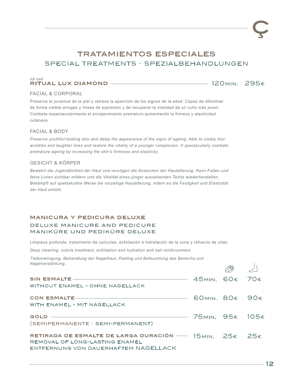# TRATAMIENTOS ESPECIALES special treatments · spezialbehandlungen

#### *nd nail*  ritual lux diamond

120min. 295€

#### FACIAL & CORPORAL

Preserva la juventud de la piel y retrasa la aparición de los signos de la edad. Capaz de difuminar de forma visible arrugas y líneas de expresión y de recuperar la vitalidad de un cutis más joven. Combate espectacularmente el envejecimiento prematuro aumentando la firmeza y elasticidad cutáneos.

#### FACIAL & BODY

*Preserve youthful-looking skin and delay the appearance of the signs of ageing. Able to visibly blur wrinkles and laughter lines and restore the vitality of a younger complexion. It spectacularly combats premature ageing by increasing the skin's firmness and elasticity.*

#### GESICHT & KÖRPER

*Bewahrt die Jugendlichkeit der Haut und verzögert die Anzeichen der Hautalterung. Kann Falten und feine Linien sichtbar mildern und die Vitalität eines jünger aussehenden Teints wiederherstellen.*  Bekämpft auf spektakuläre Weise die vorzeitige Hautalterung, indem es die Festigkeit und Elastizität *der Haut erhöht.*

#### manicura y pedicura deluxe

#### deluxe manicure and pedicure maniküre und pediküre deluxe

Limpieza profunda, tratamiento de cutículas, exfoliación e hidratación de la zona y refuerzo de uñas.

*Deep cleaning, cuticle treatment, exfoliation and hydration and nail reinforcement.*

*Tiefenreinigung, Behandlung der Nagelhaut, Peeling und Befeuchtung des Bereichs und Nagelverstärkung.*

|                                                        | $\sqrt{2}$ |  |
|--------------------------------------------------------|------------|--|
| SIN ESMALTE ———————————————————————— 45MIN. 60€ 70€    |            |  |
| <b>WITHOUT ENAMEL - OHNE NAGELLACK</b>                 |            |  |
| CON ESMALTE $-$ 60 MIN. 80 $\epsilon$ 90 $\epsilon$    |            |  |
| WITH ENAMEL - MIT NAGELLACK                            |            |  |
| GOLD <u>- 25MIN.</u> 95€ 105€                          |            |  |
| (SEMIPERMANENTE - SEMI-PERMANENT)                      |            |  |
| RETIRADA DE ESMALTE DE LARGA DURACIÓN — 15MIN. 25€ 25€ |            |  |
| REMOVAL OF LONG-LASTING ENAMEL                         |            |  |
| ENTFERNUNG VON DAUERHAFTEM NAGELLACK                   |            |  |

 $\vert$   $\vert$ 

PA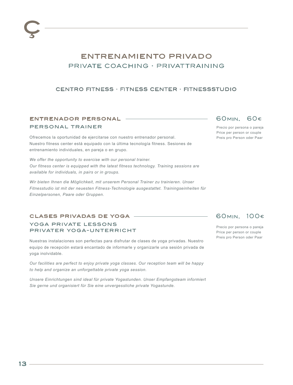# ENTRENAMIENTO PRIVADO private coaching · privat training

### centro fitness · fitness center · fitnessstudio

### entrenador personal

#### personal trainer

Ofrecemos la oportunidad de ejercitarse con nuestro entrenador personal. Nuestro fitness center está equipado con la última tecnología fitness. Sesiones de entrenamiento individuales, en pareja o en grupo.

*We offer the opportunity to exercise with our personal trainer. Our fitness center is equipped with the latest fitness technology. Training sessions are available for individuals, in pairs or in groups.*

*Wir bieten Ihnen die Möglichkeit, mit unserem Personal Trainer zu trainieren. Unser Fitnesstudio ist mit der neuesten Fitness-Technologie ausgestattet. Trainingseinheiten für Einzelpersonen, Paare oder Gruppen.*

#### clases privadas de yoga

#### yoga private lessons privater yoga-unterricht

Nuestras instalaciones son perfectas para disfrutar de clases de yoga privadas. Nuestro equipo de recepción estará encantado de informarle y organizarle una sesión privada de yoga inolvidable.

*Our facilities are perfect to enjoy private yoga classes. Our reception team will be happy to help and organize an unforgettable private yoga session.*

*Unsere Einrichtungen sind ideal für private Yogastunden. Unser Empfangsteam informiert Sie gerne und organisiert für Sie eine unvergessliche private Yogastunde.*

## 60min. 60€

Precio por persona o pareja Price per person or couple Preis pro Person oder Paar

### 60min. 100€

Precio por persona o pareja Price per person or couple Preis pro Person oder Paar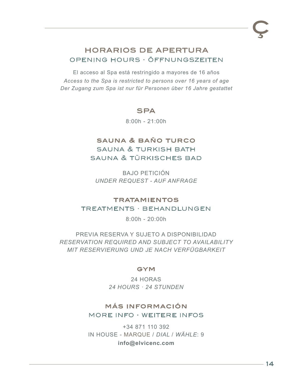# HORARIOS DE APERTURA opening hours · öffnungszeiten

El acceso al Spa está restringido a mayores de 16 años *Access to the Spa is restricted to persons over 16 years of age Der Zugang zum Spa ist nur für Personen über 16 Jahre gestattet*

## **SPA**

8:00h - 21:00h

# sauna & baño turco sauna & turkish bath sauna & türkisches bad

BAJO PETICIÓN *UNDER REQUEST - AUF ANFRAGE*

# **TRATAMIENTOS** treatments · behandlungen

8:00h - 20:00h

PREVIA RESERVA Y SUJETO A DISPONIBILIDAD *RESERVATION REQUIRED AND SUBJECT TO AVAILABILITY MIT RESERVIERUNG UND JE NACH VERFÜGBARKEIT*

### **GYM**

24 HORAS *24 HOURS · 24 STUNDEN*

# más información more info · weitere infos

+34 871 110 392 IN HOUSE - MARQUE / *DIAL* / *WÄHLE*: 9 **info@elvicenc.com**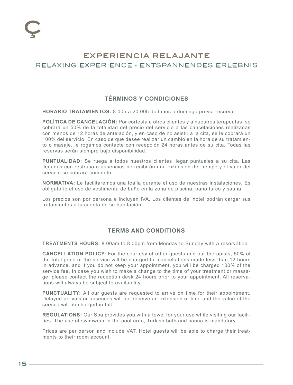# EXPERIENCIA RELAJANTE relaxing experience · entspannendes erlebnis

### **TÉRMINOS Y CONDICIONES**

**HORARIO TRATAMIENTOS:** 8.00h a 20.00h de lunes a domingo previa reserva.

**POLÍTICA DE CANCELACIÓN:** Por cortesía a otros clientes y a nuestros terapeutas, se cobrará un 50% de la totalidad del precio del servicio a las cancelaciones realizadas con menos de 12 horas de antelación, y en caso de no asistir a la cita, se le cobrará un 100% del servicio. En caso de que desee realizar un cambio en la hora de su tratamiento o masaje, le rogamos contacte con recepción 24 horas antes de su cita. Todas las reservas serán siempre bajo disponibilidad.

**PUNTUALIDAD:** Se ruega a todos nuestros clientes llegar puntuales a su cita. Las llegadas con restraso o ausencias no recibirán una extensión del tiempo y el valor del servicio se cobrará completo.

**NORMATIVA:** Le facilitaremos una toalla durante el uso de nuestras instalaciones. Es obligatorio el uso de vestimenta de baño en la zona de piscina, baño turco y sauna.

Los precios son por persona e incluyen IVA. Los clientes del hotel podrán cargar sus tratamientos a la cuenta de su habitación

### **TERMS AND CONDITIONS**

**TREATMENTS HOURS:** 8.00am to 8.00pm from Monday to Sunday with a reservation.

**CANCELLATION POLICY:** For the courtesy of other guests and our therapists, 50% of the total price of the service will be charged for cancellations made less than 12 hours in advance, and if you do not keep your appointment, you will be charged 100% of the service fee. In case you wish to make a change to the time of your treatment or massage, please contact the reception desk 24 hours prior to your appointment. All reservations will always be subject to availability.

**PUNCTUALITY:** All our guests are requested to arrive on time for their appointment. Delayed arrivals or absences will not receive an extension of time and the value of the service will be charged in full.

**REGULATIONS:** Our Spa provides you with a towel for your use while visiting our facilities. The use of swimwear in the pool area, Turkish bath and sauna is mandatory.

Prices are per person and include VAT. Hotel guests will be able to charge their treatments to their room account.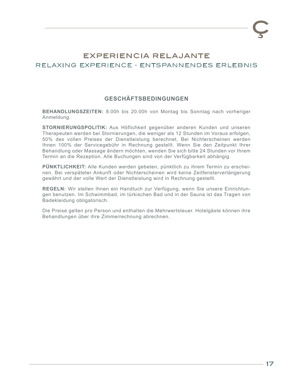# EXPERIENCIA RELAJANTE relaxing experience · entspannendes erlebnis

### **GESCHÄFTSBEDINGUNGEN**

**BEHANDLUNGSZEITEN:** 8.00h bis 20.00h von Montag bis Sonntag nach vorheriger Anmeldung.

**STORNIERUNGSPOLITIK:** Aus Höflichkeit gegenüber anderen Kunden und unseren Therapeuten werden bei Stornierungen, die weniger als 12 Stunden im Voraus erfolgen, 50% des vollen Preises der Dienstleistung berechnet, Bei Nichterscheinen werden Ihnen 100% der Servicegebühr in Rechnung gestellt. Wenn Sie den Zeitpunkt Ihrer Behandlung oder Massage ändern möchten, wenden Sie sich bitte 24 Stunden vor Ihrem Termin an die Rezeption. Alle Buchungen sind von der Verfügbarkeit abhängig.

**PÜNKTLICHKEIT:** Alle Kunden werden gebeten, pünktlich zu ihrem Termin zu erscheinen. Bei verspäteter Ankunft oder Nichterscheinen wird keine Zeitfensterverlängerung gewährt und der volle Wert der Dienstleistung wird in Rechnung gestellt.

**REGELN:** Wir stellen Ihnen ein Handtuch zur Verfügung, wenn Sie unsere Einrichtungen benutzen. Im Schwimmbad, im türkischen Bad und in der Sauna ist das Tragen von Badekleidung obligatorisch.

Die Preise gelten pro Person und enthalten die Mehrwertsteuer. Hotelgäste können ihre Behandlungen über ihre Zimmerrechnung abrechnen.